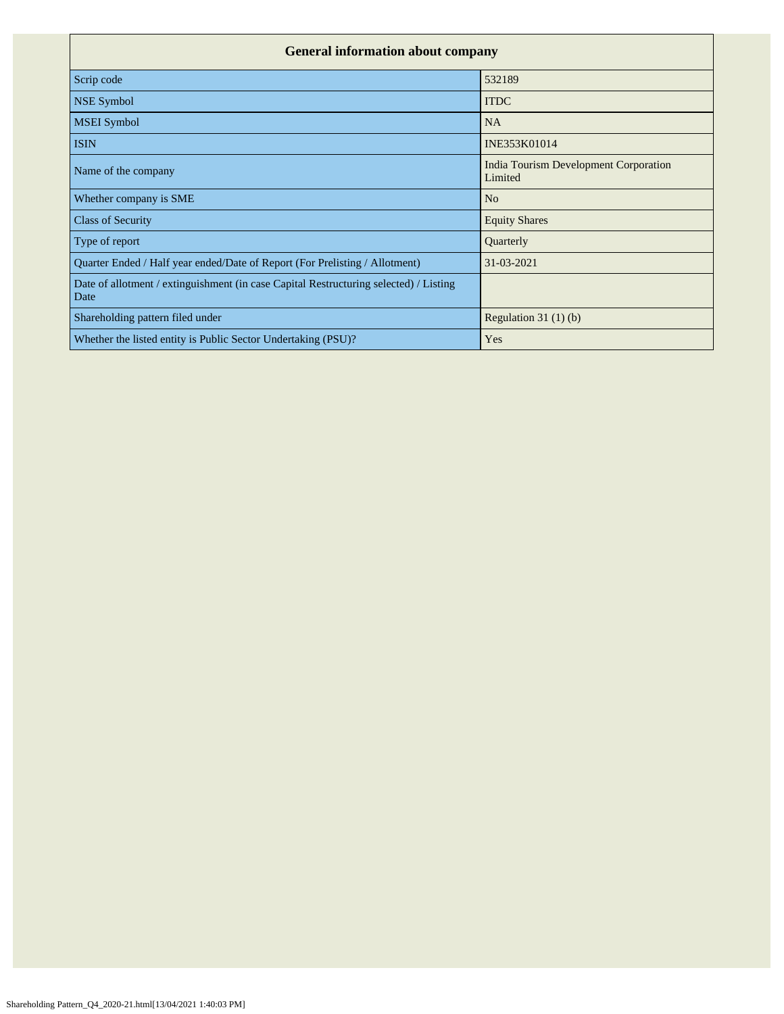| <b>General information about company</b>                                                      |                                                  |  |  |  |  |  |  |  |
|-----------------------------------------------------------------------------------------------|--------------------------------------------------|--|--|--|--|--|--|--|
| Scrip code                                                                                    | 532189                                           |  |  |  |  |  |  |  |
| <b>NSE Symbol</b>                                                                             | <b>ITDC</b>                                      |  |  |  |  |  |  |  |
| <b>MSEI</b> Symbol                                                                            | <b>NA</b>                                        |  |  |  |  |  |  |  |
| <b>ISIN</b>                                                                                   | INE353K01014                                     |  |  |  |  |  |  |  |
| Name of the company                                                                           | India Tourism Development Corporation<br>Limited |  |  |  |  |  |  |  |
| Whether company is SME                                                                        | N <sub>o</sub>                                   |  |  |  |  |  |  |  |
| <b>Class of Security</b>                                                                      | <b>Equity Shares</b>                             |  |  |  |  |  |  |  |
| Type of report                                                                                | Quarterly                                        |  |  |  |  |  |  |  |
| Quarter Ended / Half year ended/Date of Report (For Prelisting / Allotment)                   | 31-03-2021                                       |  |  |  |  |  |  |  |
| Date of allotment / extinguishment (in case Capital Restructuring selected) / Listing<br>Date |                                                  |  |  |  |  |  |  |  |
| Shareholding pattern filed under                                                              | Regulation $31(1)(b)$                            |  |  |  |  |  |  |  |
| Whether the listed entity is Public Sector Undertaking (PSU)?                                 | Yes                                              |  |  |  |  |  |  |  |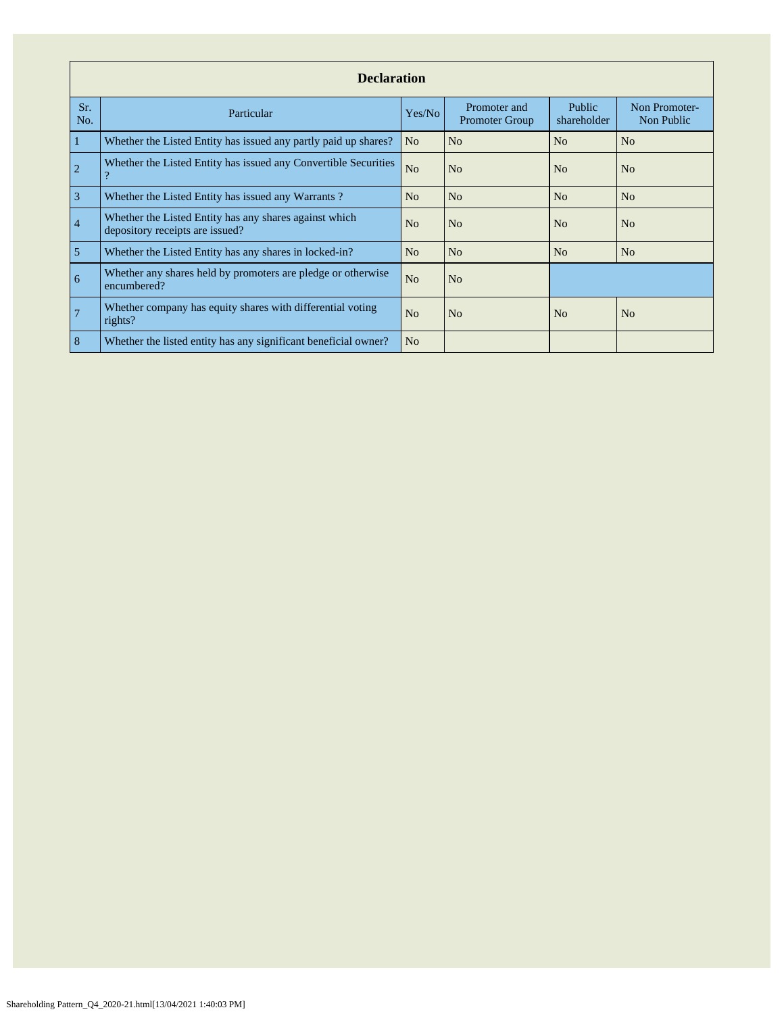|                | <b>Declaration</b>                                                                          |                |                                       |                       |                             |  |  |  |  |  |  |
|----------------|---------------------------------------------------------------------------------------------|----------------|---------------------------------------|-----------------------|-----------------------------|--|--|--|--|--|--|
| Sr.<br>No.     | Particular                                                                                  | Yes/No         | Promoter and<br><b>Promoter Group</b> | Public<br>shareholder | Non Promoter-<br>Non Public |  |  |  |  |  |  |
| $\mathbf{1}$   | Whether the Listed Entity has issued any partly paid up shares?                             | N <sub>o</sub> | N <sub>0</sub>                        | No                    | No                          |  |  |  |  |  |  |
| $\overline{2}$ | Whether the Listed Entity has issued any Convertible Securities<br>$\overline{\mathcal{L}}$ | N <sub>o</sub> | N <sub>0</sub>                        | N <sub>o</sub>        | N <sub>o</sub>              |  |  |  |  |  |  |
| 3              | Whether the Listed Entity has issued any Warrants?                                          | N <sub>o</sub> | N <sub>o</sub>                        | N <sub>o</sub>        | N <sub>o</sub>              |  |  |  |  |  |  |
| $\overline{4}$ | Whether the Listed Entity has any shares against which<br>depository receipts are issued?   | N <sub>o</sub> | N <sub>o</sub>                        | N <sub>o</sub>        | N <sub>o</sub>              |  |  |  |  |  |  |
| $\overline{5}$ | Whether the Listed Entity has any shares in locked-in?                                      | N <sub>o</sub> | N <sub>o</sub>                        | No                    | No                          |  |  |  |  |  |  |
| 6              | Whether any shares held by promoters are pledge or otherwise<br>encumbered?                 | N <sub>o</sub> | N <sub>o</sub>                        |                       |                             |  |  |  |  |  |  |
| $\overline{7}$ | Whether company has equity shares with differential voting<br>rights?                       | N <sub>o</sub> | N <sub>o</sub>                        | No                    | N <sub>o</sub>              |  |  |  |  |  |  |
| 8              | Whether the listed entity has any significant beneficial owner?                             | N <sub>o</sub> |                                       |                       |                             |  |  |  |  |  |  |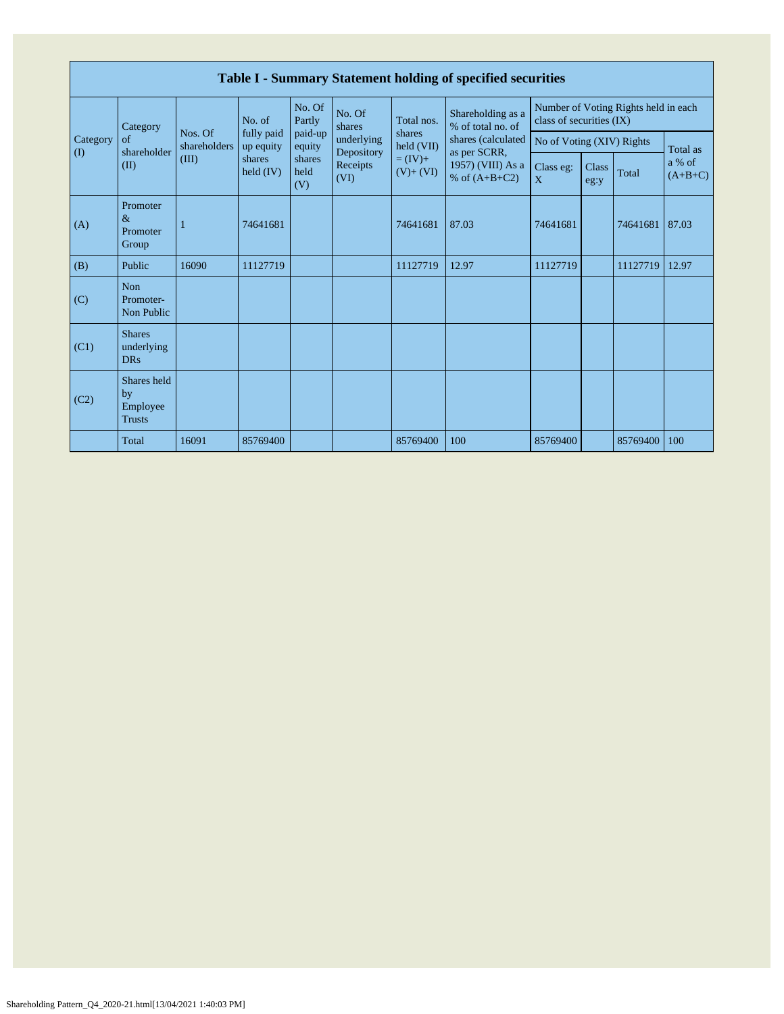|                                        | Table I - Summary Statement holding of specified securities |                         |                         |                       |                          |                          |                                                                            |                                                                  |               |          |                     |  |
|----------------------------------------|-------------------------------------------------------------|-------------------------|-------------------------|-----------------------|--------------------------|--------------------------|----------------------------------------------------------------------------|------------------------------------------------------------------|---------------|----------|---------------------|--|
|                                        | Category                                                    |                         | No. of                  | No. Of<br>Partly      | No. Of<br>shares         | Total nos.               | Shareholding as a<br>% of total no. of                                     | Number of Voting Rights held in each<br>class of securities (IX) |               |          |                     |  |
| Category<br>$\left( \mathrm{I}\right)$ | of<br>shareholder                                           | Nos. Of<br>shareholders | fully paid<br>up equity | paid-up<br>equity     | underlying<br>Depository | shares<br>held (VII)     | shares (calculated<br>as per SCRR,<br>1957) (VIII) As a<br>% of $(A+B+C2)$ | No of Voting (XIV) Rights                                        |               |          | Total as            |  |
|                                        | (II)                                                        | (III)                   | shares<br>held $(IV)$   | shares<br>held<br>(V) | Receipts<br>(VI)         | $= (IV) +$<br>$(V)+(VI)$ |                                                                            | Class eg:<br>$\mathbf{X}$                                        | Class<br>eg:y | Total    | a % of<br>$(A+B+C)$ |  |
| (A)                                    | Promoter<br>$\&$<br>Promoter<br>Group                       |                         | 74641681                |                       |                          | 74641681                 | 87.03                                                                      | 74641681                                                         |               | 74641681 | 87.03               |  |
| (B)                                    | Public                                                      | 16090                   | 11127719                |                       |                          | 11127719                 | 12.97                                                                      | 11127719                                                         |               | 11127719 | 12.97               |  |
| (C)                                    | Non<br>Promoter-<br>Non Public                              |                         |                         |                       |                          |                          |                                                                            |                                                                  |               |          |                     |  |
| (C1)                                   | <b>Shares</b><br>underlying<br><b>DRs</b>                   |                         |                         |                       |                          |                          |                                                                            |                                                                  |               |          |                     |  |
| (C2)                                   | Shares held<br>by<br>Employee<br><b>Trusts</b>              |                         |                         |                       |                          |                          |                                                                            |                                                                  |               |          |                     |  |
|                                        | Total                                                       | 16091                   | 85769400                |                       |                          | 85769400                 | 100                                                                        | 85769400                                                         |               | 85769400 | 100                 |  |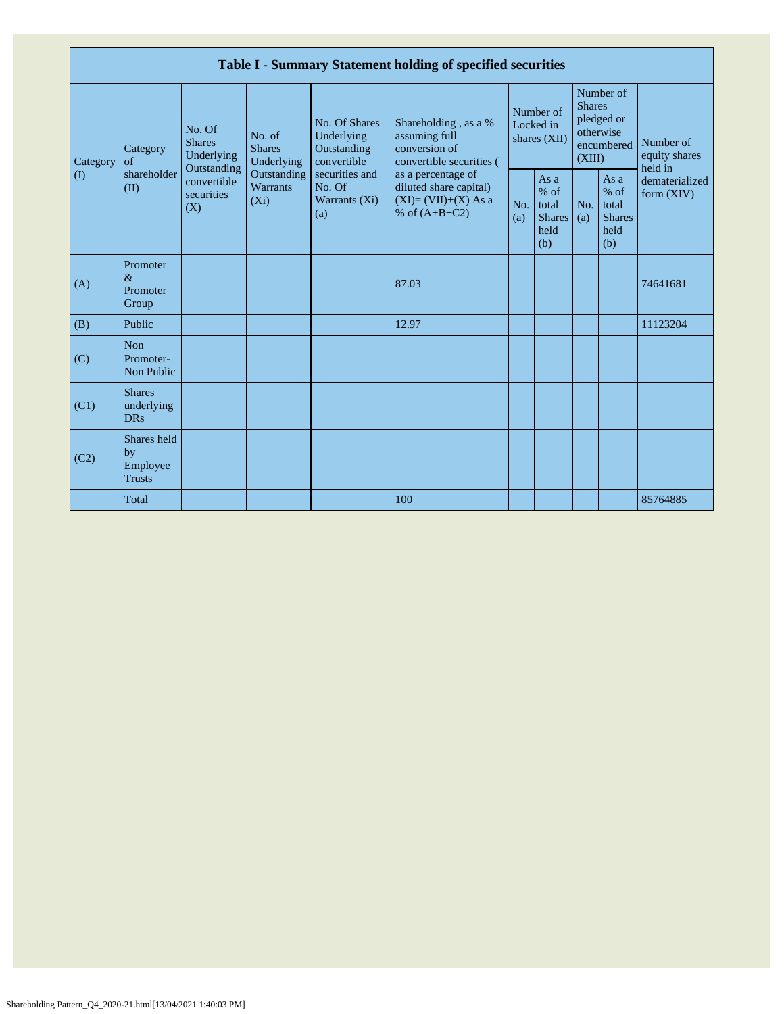| Table I - Summary Statement holding of specified securities |                                                |                                                                                          |                                           |                                                           |                                                                                          |                                        |                                                         |                                                                               |                                                       |                                       |
|-------------------------------------------------------------|------------------------------------------------|------------------------------------------------------------------------------------------|-------------------------------------------|-----------------------------------------------------------|------------------------------------------------------------------------------------------|----------------------------------------|---------------------------------------------------------|-------------------------------------------------------------------------------|-------------------------------------------------------|---------------------------------------|
| Category<br>$($ $($ $)$                                     | Category<br>of<br>shareholder<br>(II)          | No. Of<br><b>Shares</b><br>Underlying<br>Outstanding<br>convertible<br>securities<br>(X) | No. of<br><b>Shares</b><br>Underlying     | No. Of Shares<br>Underlying<br>Outstanding<br>convertible | Shareholding, as a %<br>assuming full<br>conversion of<br>convertible securities (       | Number of<br>Locked in<br>shares (XII) |                                                         | Number of<br><b>Shares</b><br>pledged or<br>otherwise<br>encumbered<br>(XIII) |                                                       | Number of<br>equity shares<br>held in |
|                                                             |                                                |                                                                                          | Outstanding<br><b>Warrants</b><br>$(X_i)$ | securities and<br>No. Of<br>Warrants (Xi)<br>(a)          | as a percentage of<br>diluted share capital)<br>$(XI)=(VII)+(X) As a$<br>% of $(A+B+C2)$ | No.<br>(a)                             | As a<br>$%$ of<br>total<br><b>Shares</b><br>held<br>(b) | No.<br>(a)                                                                    | As a<br>% of<br>total<br><b>Shares</b><br>held<br>(b) | dematerialized<br>form $(XIV)$        |
| (A)                                                         | Promoter<br>$\&$<br>Promoter<br>Group          |                                                                                          |                                           |                                                           | 87.03                                                                                    |                                        |                                                         |                                                                               |                                                       | 74641681                              |
| (B)                                                         | Public                                         |                                                                                          |                                           |                                                           | 12.97                                                                                    |                                        |                                                         |                                                                               |                                                       | 11123204                              |
| (C)                                                         | <b>Non</b><br>Promoter-<br>Non Public          |                                                                                          |                                           |                                                           |                                                                                          |                                        |                                                         |                                                                               |                                                       |                                       |
| (C1)                                                        | <b>Shares</b><br>underlying<br><b>DRs</b>      |                                                                                          |                                           |                                                           |                                                                                          |                                        |                                                         |                                                                               |                                                       |                                       |
| (C2)                                                        | Shares held<br>by<br>Employee<br><b>Trusts</b> |                                                                                          |                                           |                                                           |                                                                                          |                                        |                                                         |                                                                               |                                                       |                                       |
|                                                             | Total                                          |                                                                                          |                                           |                                                           | 100                                                                                      |                                        |                                                         |                                                                               |                                                       | 85764885                              |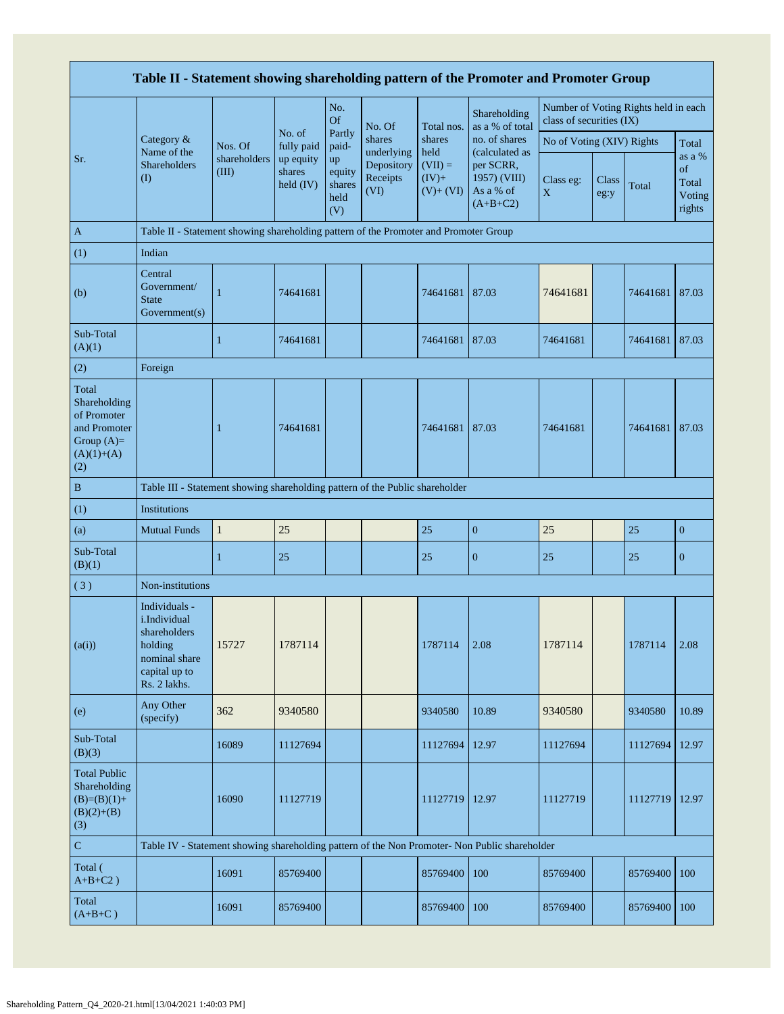|                                                                                             | Table II - Statement showing shareholding pattern of the Promoter and Promoter Group                       |                       |                                                            |                                       |                                              |                                            |                                                                        |                           |               |                                      |                                           |  |
|---------------------------------------------------------------------------------------------|------------------------------------------------------------------------------------------------------------|-----------------------|------------------------------------------------------------|---------------------------------------|----------------------------------------------|--------------------------------------------|------------------------------------------------------------------------|---------------------------|---------------|--------------------------------------|-------------------------------------------|--|
|                                                                                             |                                                                                                            |                       |                                                            | No.<br>Of                             | No. Of                                       | Total nos.                                 | Shareholding<br>as a % of total                                        | class of securities (IX)  |               | Number of Voting Rights held in each |                                           |  |
|                                                                                             | Category &                                                                                                 | Nos. Of               | No. of<br>fully paid<br>up equity<br>shares<br>held $(IV)$ | Partly<br>paid-                       | shares                                       | shares                                     | no. of shares                                                          | No of Voting (XIV) Rights |               |                                      | Total                                     |  |
| Sr.                                                                                         | Name of the<br>Shareholders<br>$\rm(D)$                                                                    | shareholders<br>(III) |                                                            | up<br>equity<br>shares<br>held<br>(V) | underlying<br>Depository<br>Receipts<br>(VI) | held<br>$(VII) =$<br>$(IV)+$<br>$(V)+(VI)$ | (calculated as<br>per SCRR,<br>1957) (VIII)<br>As a % of<br>$(A+B+C2)$ | Class eg:<br>$\mathbf X$  | Class<br>eg:y | Total                                | as a %<br>of<br>Total<br>Voting<br>rights |  |
| $\mathbf{A}$                                                                                | Table II - Statement showing shareholding pattern of the Promoter and Promoter Group                       |                       |                                                            |                                       |                                              |                                            |                                                                        |                           |               |                                      |                                           |  |
| (1)                                                                                         | Indian                                                                                                     |                       |                                                            |                                       |                                              |                                            |                                                                        |                           |               |                                      |                                           |  |
| (b)                                                                                         | Central<br>Government/<br><b>State</b><br>Government(s)                                                    | $\mathbf{1}$          | 74641681                                                   |                                       |                                              | 74641681                                   | 87.03                                                                  | 74641681                  |               | 74641681                             | 87.03                                     |  |
| Sub-Total<br>(A)(1)                                                                         |                                                                                                            | $\mathbf{1}$          | 74641681                                                   |                                       |                                              | 74641681                                   | 87.03                                                                  | 74641681                  |               | 74641681                             | 87.03                                     |  |
| (2)                                                                                         | Foreign                                                                                                    |                       |                                                            |                                       |                                              |                                            |                                                                        |                           |               |                                      |                                           |  |
| Total<br>Shareholding<br>of Promoter<br>and Promoter<br>Group $(A)=$<br>$(A)(1)+(A)$<br>(2) |                                                                                                            | $\mathbf{1}$          | 74641681                                                   |                                       |                                              | 74641681                                   | 87.03                                                                  | 74641681                  |               | 74641681                             | 87.03                                     |  |
| $\, {\bf B}$                                                                                | Table III - Statement showing shareholding pattern of the Public shareholder                               |                       |                                                            |                                       |                                              |                                            |                                                                        |                           |               |                                      |                                           |  |
| (1)                                                                                         | <b>Institutions</b>                                                                                        |                       |                                                            |                                       |                                              |                                            |                                                                        |                           |               |                                      |                                           |  |
| (a)                                                                                         | <b>Mutual Funds</b>                                                                                        | $\mathbf{1}$          | 25                                                         |                                       |                                              | 25                                         | $\boldsymbol{0}$                                                       | 25                        |               | 25                                   | $\boldsymbol{0}$                          |  |
| Sub-Total<br>(B)(1)                                                                         |                                                                                                            | $\mathbf{1}$          | 25                                                         |                                       |                                              | 25                                         | $\mathbf{0}$                                                           | 25                        |               | 25                                   | $\mathbf{0}$                              |  |
| (3)                                                                                         | Non-institutions                                                                                           |                       |                                                            |                                       |                                              |                                            |                                                                        |                           |               |                                      |                                           |  |
| (a(i))                                                                                      | Individuals -<br>i.Individual<br>shareholders<br>holding<br>nominal share<br>capital up to<br>Rs. 2 lakhs. | 15727                 | 1787114                                                    |                                       |                                              | 1787114                                    | 2.08                                                                   | 1787114                   |               | 1787114                              | 2.08                                      |  |
| (e)                                                                                         | Any Other<br>(specify)                                                                                     | 362                   | 9340580                                                    |                                       |                                              | 9340580                                    | 10.89                                                                  | 9340580                   |               | 9340580                              | 10.89                                     |  |
| Sub-Total<br>(B)(3)                                                                         |                                                                                                            | 16089                 | 11127694                                                   |                                       |                                              | 11127694                                   | 12.97                                                                  | 11127694                  |               | 11127694                             | 12.97                                     |  |
| <b>Total Public</b><br>Shareholding<br>$(B)=(B)(1)+$<br>$(B)(2)+(B)$<br>(3)                 |                                                                                                            | 16090                 | 11127719                                                   |                                       |                                              | 11127719                                   | 12.97                                                                  | 11127719                  |               | 11127719                             | 12.97                                     |  |
| ${\bf C}$                                                                                   | Table IV - Statement showing shareholding pattern of the Non Promoter- Non Public shareholder              |                       |                                                            |                                       |                                              |                                            |                                                                        |                           |               |                                      |                                           |  |
| Total (<br>$A+B+C2$ )                                                                       |                                                                                                            | 16091                 | 85769400                                                   |                                       |                                              | 85769400                                   | 100                                                                    | 85769400                  |               | 85769400                             | 100                                       |  |
| Total<br>$(A+B+C)$                                                                          |                                                                                                            | 16091                 | 85769400                                                   |                                       |                                              | 85769400                                   | 100                                                                    | 85769400                  |               | 85769400                             | 100                                       |  |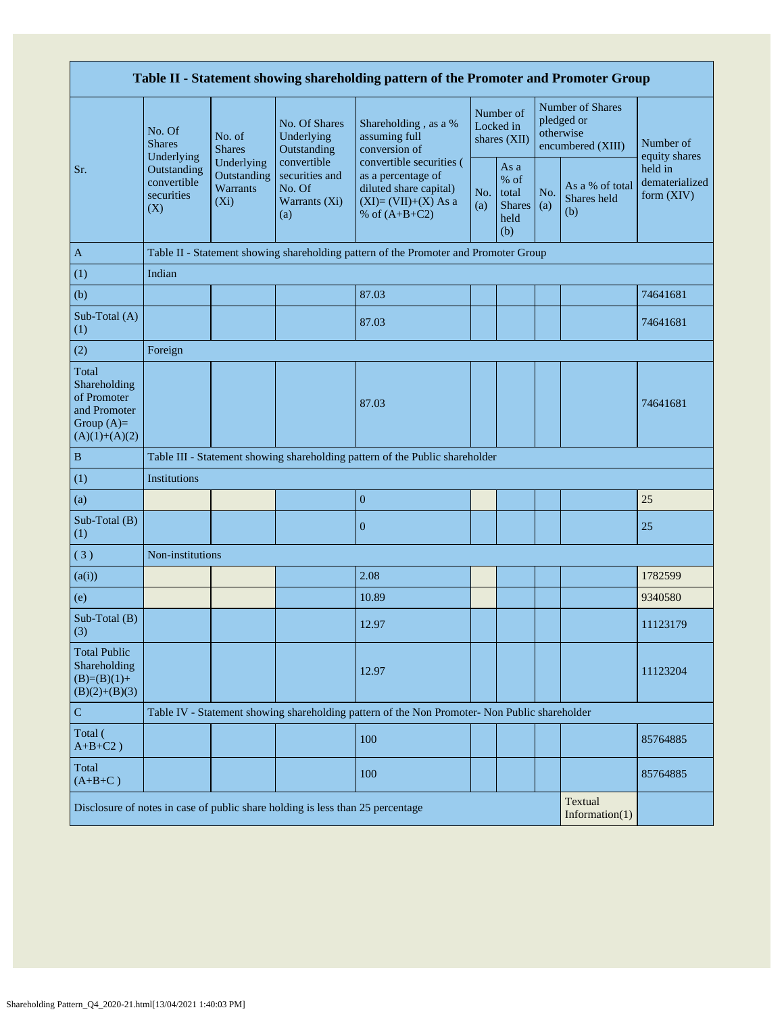| Table II - Statement showing shareholding pattern of the Promoter and Promoter Group    |                                                 |                                                         |                                                                                |                                                                                                                      |                                          |                                                       |                                                                  |                                       |                                         |
|-----------------------------------------------------------------------------------------|-------------------------------------------------|---------------------------------------------------------|--------------------------------------------------------------------------------|----------------------------------------------------------------------------------------------------------------------|------------------------------------------|-------------------------------------------------------|------------------------------------------------------------------|---------------------------------------|-----------------------------------------|
|                                                                                         | No. Of<br><b>Shares</b><br>Underlying           | No. of<br><b>Shares</b>                                 | No. Of Shares<br>Underlying<br>Outstanding                                     | Shareholding, as a %<br>assuming full<br>conversion of                                                               | Number of<br>Locked in<br>shares $(XII)$ |                                                       | Number of Shares<br>pledged or<br>otherwise<br>encumbered (XIII) |                                       | Number of<br>equity shares              |
| Sr.                                                                                     | Outstanding<br>convertible<br>securities<br>(X) | Underlying<br><b>Outstanding</b><br>Warrants<br>$(X_i)$ | convertible<br>securities and<br>No. Of<br>Warrants (Xi)<br>(a)                | convertible securities (<br>as a percentage of<br>diluted share capital)<br>$(XI)=(VII)+(X)$ As a<br>% of $(A+B+C2)$ | No.<br>(a)                               | As a<br>% of<br>total<br><b>Shares</b><br>held<br>(b) | No.<br>(a)                                                       | As a % of total<br>Shares held<br>(b) | held in<br>dematerialized<br>form (XIV) |
| $\mathbf{A}$                                                                            |                                                 |                                                         |                                                                                | Table II - Statement showing shareholding pattern of the Promoter and Promoter Group                                 |                                          |                                                       |                                                                  |                                       |                                         |
| (1)                                                                                     | Indian                                          |                                                         |                                                                                |                                                                                                                      |                                          |                                                       |                                                                  |                                       |                                         |
| (b)                                                                                     |                                                 |                                                         |                                                                                | 87.03                                                                                                                |                                          |                                                       |                                                                  |                                       | 74641681                                |
| Sub-Total (A)<br>(1)                                                                    |                                                 |                                                         |                                                                                | 87.03                                                                                                                |                                          |                                                       |                                                                  |                                       | 74641681                                |
| (2)                                                                                     | Foreign                                         |                                                         |                                                                                |                                                                                                                      |                                          |                                                       |                                                                  |                                       |                                         |
| Total<br>Shareholding<br>of Promoter<br>and Promoter<br>Group $(A)=$<br>$(A)(1)+(A)(2)$ |                                                 |                                                         |                                                                                | 87.03                                                                                                                |                                          |                                                       |                                                                  |                                       | 74641681                                |
| $\, {\bf B}$                                                                            |                                                 |                                                         |                                                                                | Table III - Statement showing shareholding pattern of the Public shareholder                                         |                                          |                                                       |                                                                  |                                       |                                         |
| (1)                                                                                     | Institutions                                    |                                                         |                                                                                |                                                                                                                      |                                          |                                                       |                                                                  |                                       |                                         |
| (a)                                                                                     |                                                 |                                                         |                                                                                | $\mathbf{0}$                                                                                                         |                                          |                                                       |                                                                  |                                       | 25                                      |
| Sub-Total (B)<br>(1)                                                                    |                                                 |                                                         |                                                                                | $\mathbf{0}$                                                                                                         |                                          |                                                       |                                                                  |                                       | 25                                      |
| (3)                                                                                     | Non-institutions                                |                                                         |                                                                                |                                                                                                                      |                                          |                                                       |                                                                  |                                       |                                         |
| (a(i))                                                                                  |                                                 |                                                         |                                                                                | 2.08                                                                                                                 |                                          |                                                       |                                                                  |                                       | 1782599                                 |
| (e)                                                                                     |                                                 |                                                         |                                                                                | 10.89                                                                                                                |                                          |                                                       |                                                                  |                                       | 9340580                                 |
| Sub-Total (B)<br>(3)                                                                    |                                                 |                                                         |                                                                                | 12.97                                                                                                                |                                          |                                                       |                                                                  |                                       | 11123179                                |
| <b>Total Public</b><br>Shareholding<br>$(B)=(B)(1)+$<br>$(B)(2)+(B)(3)$                 |                                                 |                                                         |                                                                                | 12.97                                                                                                                |                                          |                                                       |                                                                  |                                       | 11123204                                |
| ${\bf C}$                                                                               |                                                 |                                                         |                                                                                | Table IV - Statement showing shareholding pattern of the Non Promoter- Non Public shareholder                        |                                          |                                                       |                                                                  |                                       |                                         |
| Total (<br>$A+B+C2$ )                                                                   |                                                 |                                                         |                                                                                | 100                                                                                                                  |                                          |                                                       |                                                                  |                                       | 85764885                                |
| Total<br>$(A+B+C)$                                                                      |                                                 |                                                         |                                                                                | 100                                                                                                                  |                                          |                                                       |                                                                  |                                       | 85764885                                |
|                                                                                         |                                                 |                                                         | Disclosure of notes in case of public share holding is less than 25 percentage |                                                                                                                      |                                          |                                                       |                                                                  | Textual<br>Information $(1)$          |                                         |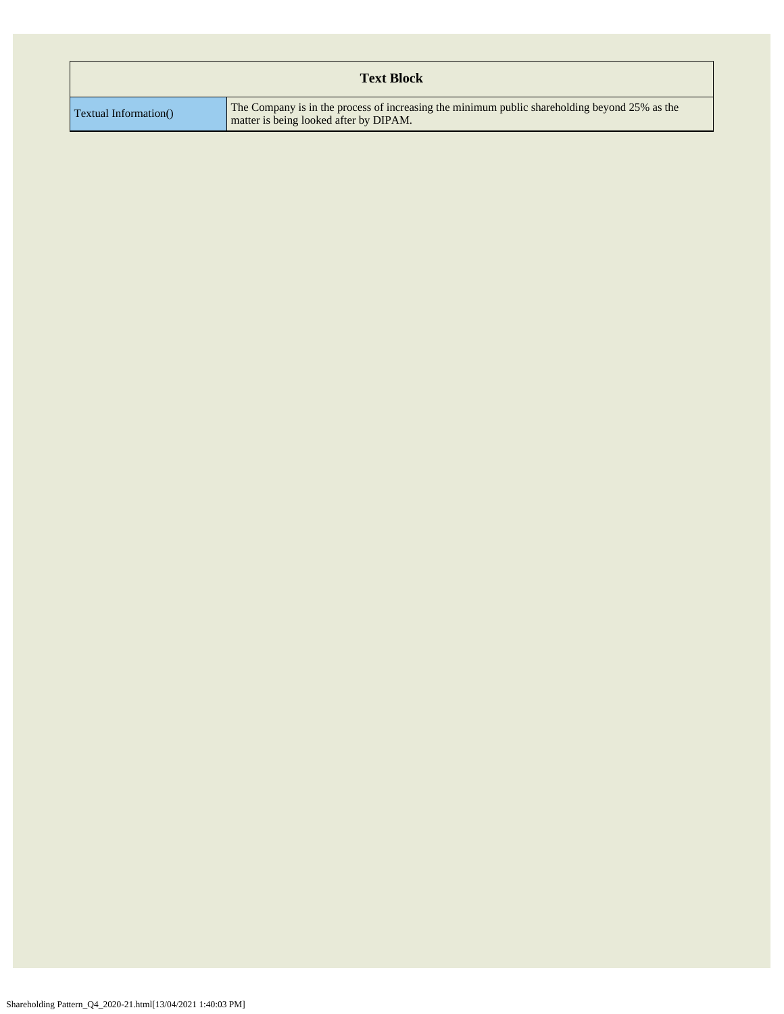|                       | <b>Text Block</b>                                                                                                                       |
|-----------------------|-----------------------------------------------------------------------------------------------------------------------------------------|
| Textual Information() | The Company is in the process of increasing the minimum public shareholding beyond 25% as the<br>matter is being looked after by DIPAM. |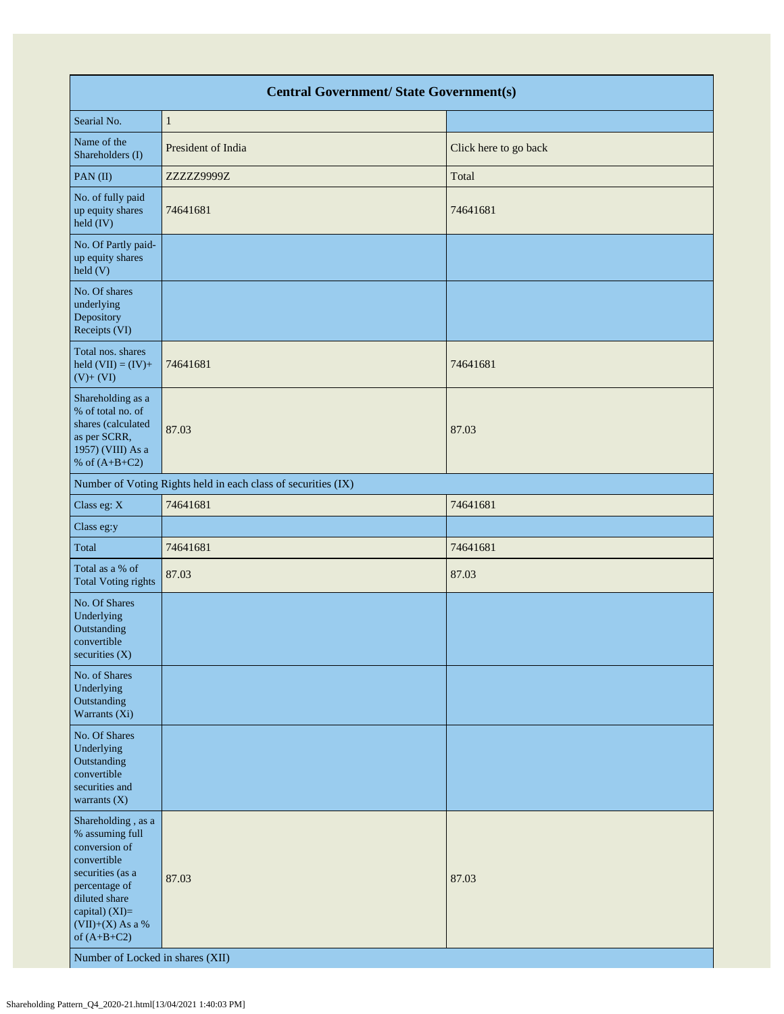|                                                                                                                                                                                                                          | <b>Central Government/ State Government(s)</b>                |                       |  |  |  |  |  |  |  |  |
|--------------------------------------------------------------------------------------------------------------------------------------------------------------------------------------------------------------------------|---------------------------------------------------------------|-----------------------|--|--|--|--|--|--|--|--|
| Searial No.                                                                                                                                                                                                              | $\mathbf{1}$                                                  |                       |  |  |  |  |  |  |  |  |
| Name of the<br>Shareholders (I)                                                                                                                                                                                          | President of India                                            | Click here to go back |  |  |  |  |  |  |  |  |
| $PAN$ (II)                                                                                                                                                                                                               | ZZZZZ9999Z                                                    | Total                 |  |  |  |  |  |  |  |  |
| No. of fully paid<br>up equity shares<br>held (IV)                                                                                                                                                                       | 74641681                                                      | 74641681              |  |  |  |  |  |  |  |  |
| No. Of Partly paid-<br>up equity shares<br>held(V)                                                                                                                                                                       |                                                               |                       |  |  |  |  |  |  |  |  |
| No. Of shares<br>underlying<br>Depository<br>Receipts (VI)                                                                                                                                                               |                                                               |                       |  |  |  |  |  |  |  |  |
| Total nos. shares<br>held $(VII) = (IV) +$<br>$(V) + (VI)$                                                                                                                                                               | 74641681                                                      | 74641681              |  |  |  |  |  |  |  |  |
| Shareholding as a<br>% of total no. of<br>shares (calculated<br>as per SCRR,<br>1957) (VIII) As a<br>% of $(A+B+C2)$                                                                                                     | 87.03                                                         | 87.03                 |  |  |  |  |  |  |  |  |
|                                                                                                                                                                                                                          | Number of Voting Rights held in each class of securities (IX) |                       |  |  |  |  |  |  |  |  |
| Class eg: X                                                                                                                                                                                                              | 74641681                                                      | 74641681              |  |  |  |  |  |  |  |  |
| Class eg:y                                                                                                                                                                                                               |                                                               |                       |  |  |  |  |  |  |  |  |
| Total                                                                                                                                                                                                                    | 74641681                                                      | 74641681              |  |  |  |  |  |  |  |  |
| Total as a % of<br><b>Total Voting rights</b>                                                                                                                                                                            | 87.03                                                         | 87.03                 |  |  |  |  |  |  |  |  |
| No. Of Shares<br>Underlying<br>Outstanding<br>convertible<br>securities (X)                                                                                                                                              |                                                               |                       |  |  |  |  |  |  |  |  |
| No. of Shares<br>Underlying<br>Outstanding<br>Warrants (Xi)                                                                                                                                                              |                                                               |                       |  |  |  |  |  |  |  |  |
| No. Of Shares<br>Underlying<br>Outstanding<br>convertible<br>securities and<br>warrants $(X)$                                                                                                                            |                                                               |                       |  |  |  |  |  |  |  |  |
| Shareholding, as a<br>% assuming full<br>conversion of<br>convertible<br>securities (as a<br>percentage of<br>diluted share<br>capital) (XI)=<br>$(VII)+(X)$ As a %<br>of $(A+B+C2)$<br>Number of Locked in shares (XII) | 87.03                                                         | 87.03                 |  |  |  |  |  |  |  |  |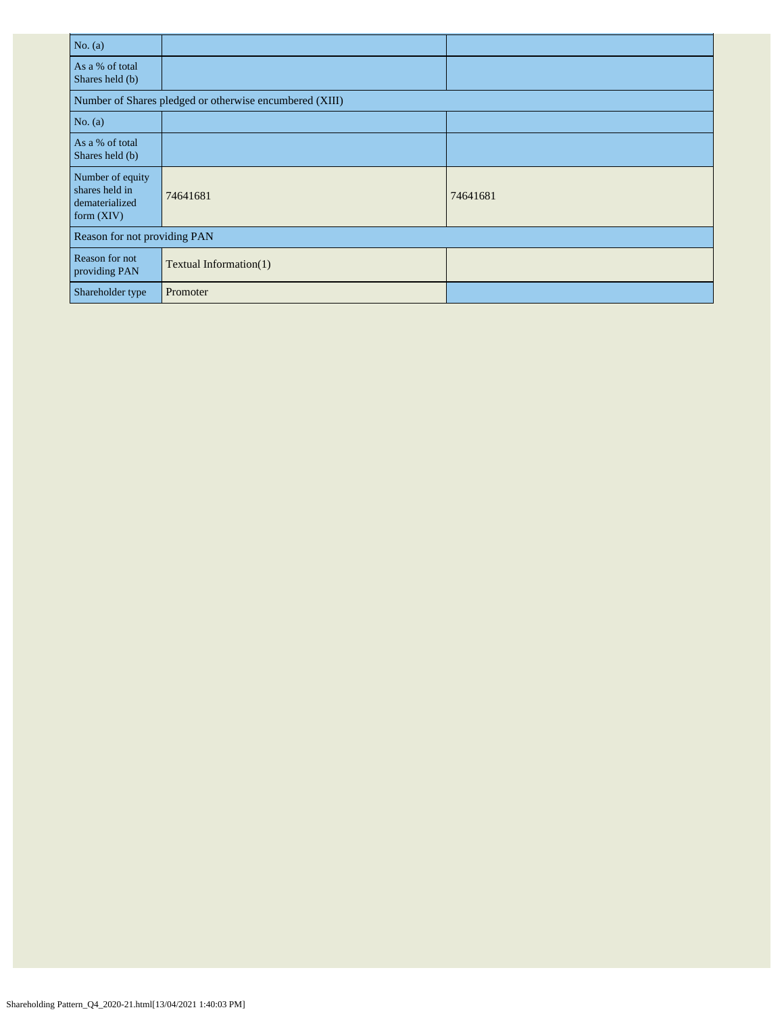| No. $(a)$                                                            |                                                         |          |  |  |  |  |  |  |
|----------------------------------------------------------------------|---------------------------------------------------------|----------|--|--|--|--|--|--|
| As a % of total<br>Shares held (b)                                   |                                                         |          |  |  |  |  |  |  |
|                                                                      | Number of Shares pledged or otherwise encumbered (XIII) |          |  |  |  |  |  |  |
| No. $(a)$                                                            |                                                         |          |  |  |  |  |  |  |
| As a % of total<br>Shares held (b)                                   |                                                         |          |  |  |  |  |  |  |
| Number of equity<br>shares held in<br>dematerialized<br>form $(XIV)$ | 74641681                                                | 74641681 |  |  |  |  |  |  |
|                                                                      | Reason for not providing PAN                            |          |  |  |  |  |  |  |
| Reason for not<br>providing PAN                                      | Textual Information(1)                                  |          |  |  |  |  |  |  |
| Shareholder type                                                     | Promoter                                                |          |  |  |  |  |  |  |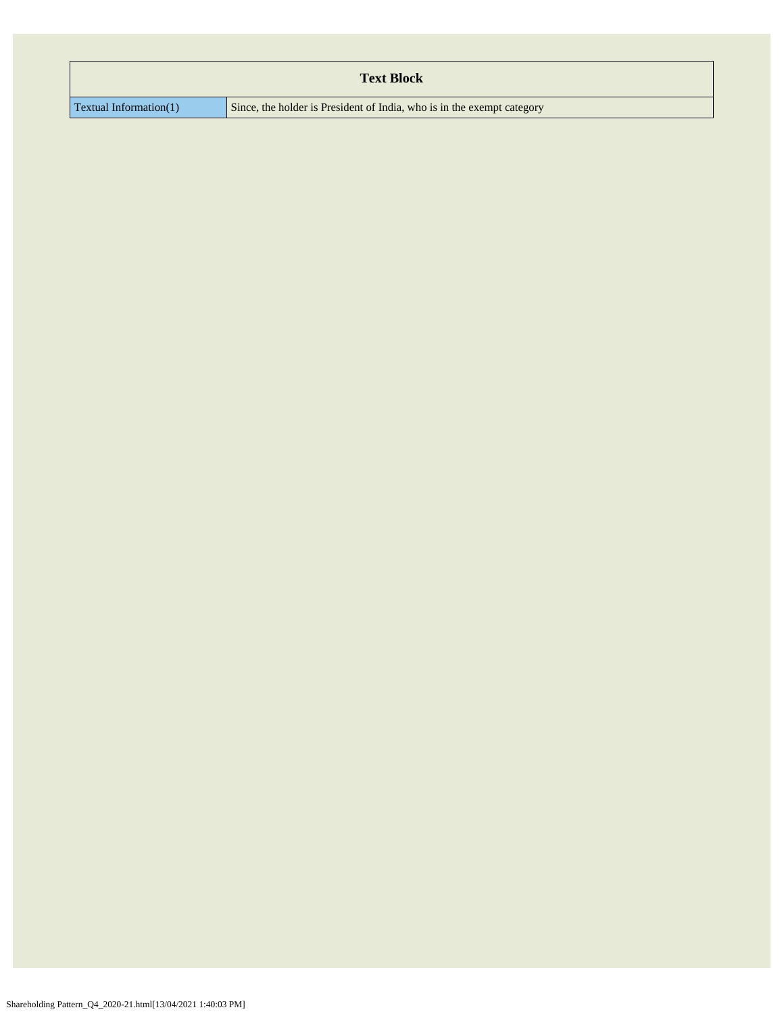|                           | <b>Text Block</b>                                                      |
|---------------------------|------------------------------------------------------------------------|
|                           | Since, the holder is President of India, who is in the exempt category |
| Textual Information $(1)$ |                                                                        |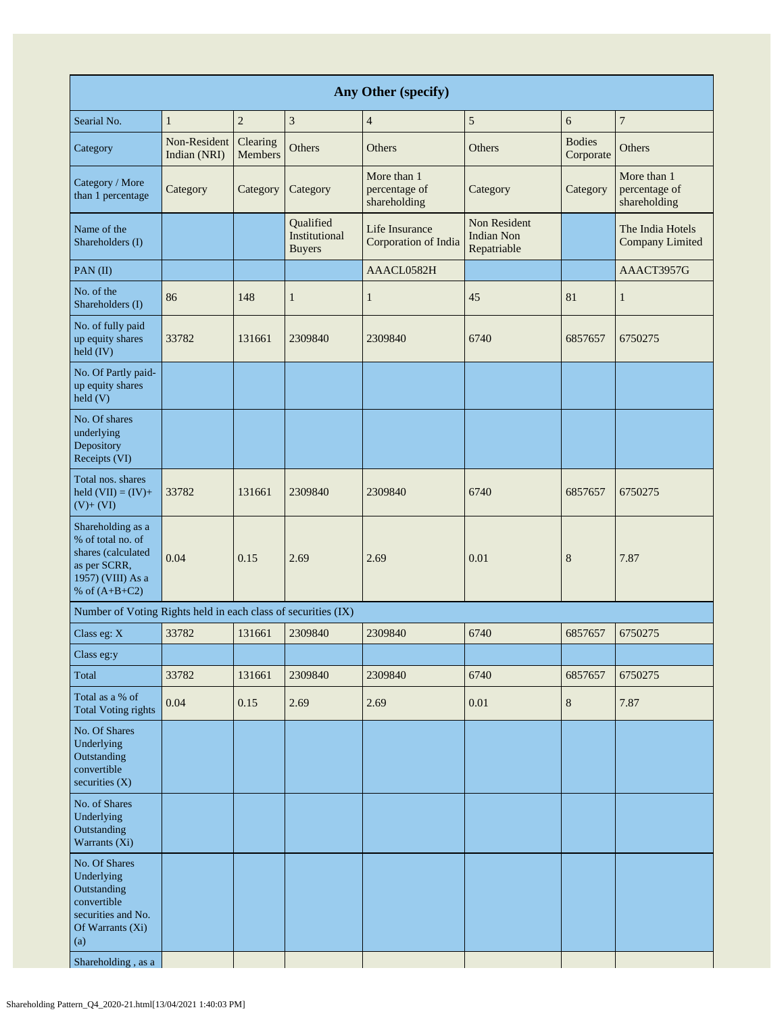| Any Other (specify)                                                                                                              |                              |                            |                                             |                                              |                                                         |                            |                                              |  |  |  |  |
|----------------------------------------------------------------------------------------------------------------------------------|------------------------------|----------------------------|---------------------------------------------|----------------------------------------------|---------------------------------------------------------|----------------------------|----------------------------------------------|--|--|--|--|
| Searial No.                                                                                                                      | $\mathbf{1}$                 | $\overline{c}$             | 3                                           | $\overline{4}$                               | 5                                                       | 6                          | $\overline{7}$                               |  |  |  |  |
| Category                                                                                                                         | Non-Resident<br>Indian (NRI) | Clearing<br><b>Members</b> | Others                                      | Others                                       | Others                                                  | <b>Bodies</b><br>Corporate | Others                                       |  |  |  |  |
| Category / More<br>than 1 percentage                                                                                             | Category                     | Category                   | Category                                    | More than 1<br>percentage of<br>shareholding | Category                                                | Category                   | More than 1<br>percentage of<br>shareholding |  |  |  |  |
| Name of the<br>Shareholders (I)                                                                                                  |                              |                            | Qualified<br>Institutional<br><b>Buyers</b> | Life Insurance<br>Corporation of India       | <b>Non Resident</b><br><b>Indian Non</b><br>Repatriable |                            | The India Hotels<br><b>Company Limited</b>   |  |  |  |  |
| PAN(II)                                                                                                                          |                              |                            |                                             | AAACL0582H                                   |                                                         |                            | AAACT3957G                                   |  |  |  |  |
| No. of the<br>Shareholders (I)                                                                                                   | 86                           | 148                        | $\mathbf{1}$                                | $\mathbf{1}$                                 | 45                                                      | 81                         | $\mathbf{1}$                                 |  |  |  |  |
| No. of fully paid<br>up equity shares<br>held (IV)                                                                               | 33782                        | 131661                     | 2309840                                     | 2309840                                      | 6740                                                    | 6857657                    | 6750275                                      |  |  |  |  |
| No. Of Partly paid-<br>up equity shares<br>$\text{held}$ (V)                                                                     |                              |                            |                                             |                                              |                                                         |                            |                                              |  |  |  |  |
| No. Of shares<br>underlying<br>Depository<br>Receipts (VI)                                                                       |                              |                            |                                             |                                              |                                                         |                            |                                              |  |  |  |  |
| Total nos. shares<br>held $(VII) = (IV) +$<br>$(V)+(VI)$                                                                         | 33782                        | 131661                     | 2309840                                     | 2309840                                      | 6740                                                    | 6857657                    | 6750275                                      |  |  |  |  |
| Shareholding as a<br>% of total no. of<br>shares (calculated<br>as per SCRR,<br>1957) (VIII) As a<br>% of $(A+B+C2)$             | 0.04                         | 0.15                       | 2.69                                        | 2.69                                         | 0.01                                                    | 8                          | 7.87                                         |  |  |  |  |
| Number of Voting Rights held in each class of securities (IX)                                                                    |                              |                            |                                             |                                              |                                                         |                            |                                              |  |  |  |  |
| Class eg: X                                                                                                                      | 33782                        | 131661                     | 2309840                                     | 2309840                                      | 6740                                                    | 6857657                    | 6750275                                      |  |  |  |  |
| Class eg:y                                                                                                                       |                              |                            |                                             |                                              |                                                         |                            |                                              |  |  |  |  |
| Total                                                                                                                            | 33782                        | 131661                     | 2309840                                     | 2309840                                      | 6740                                                    | 6857657                    | 6750275                                      |  |  |  |  |
| Total as a % of<br><b>Total Voting rights</b>                                                                                    | 0.04                         | 0.15                       | 2.69                                        | 2.69                                         | 0.01                                                    | $8\,$                      | 7.87                                         |  |  |  |  |
| No. Of Shares<br>Underlying<br>Outstanding<br>convertible<br>securities $(X)$                                                    |                              |                            |                                             |                                              |                                                         |                            |                                              |  |  |  |  |
| No. of Shares<br>Underlying<br>Outstanding<br>Warrants (Xi)                                                                      |                              |                            |                                             |                                              |                                                         |                            |                                              |  |  |  |  |
| No. Of Shares<br>Underlying<br>Outstanding<br>convertible<br>securities and No.<br>Of Warrants (Xi)<br>(a)<br>Shareholding, as a |                              |                            |                                             |                                              |                                                         |                            |                                              |  |  |  |  |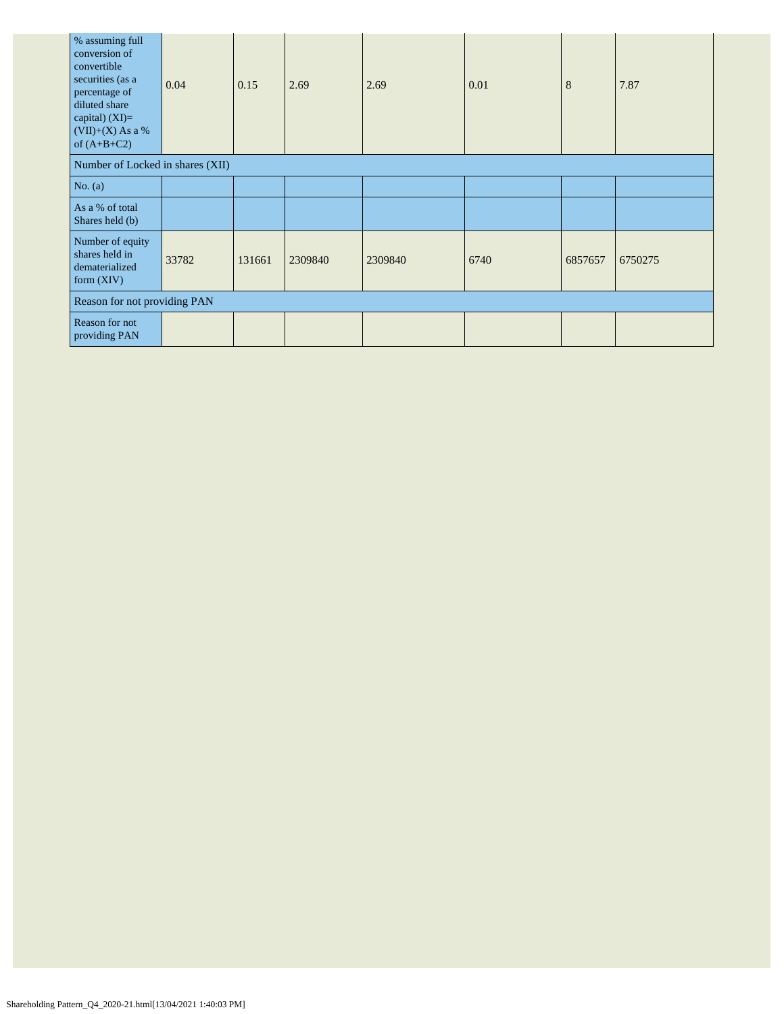| % assuming full<br>conversion of<br>convertible<br>securities (as a<br>percentage of<br>diluted share<br>capital) $(XI)=$<br>$(VII)+(X)$ As a %<br>of $(A+B+C2)$ | 0.04                             | 0.15   | 2.69    | 2.69    | 0.01 | 8       | 7.87    |  |  |  |
|------------------------------------------------------------------------------------------------------------------------------------------------------------------|----------------------------------|--------|---------|---------|------|---------|---------|--|--|--|
|                                                                                                                                                                  | Number of Locked in shares (XII) |        |         |         |      |         |         |  |  |  |
| No. $(a)$                                                                                                                                                        |                                  |        |         |         |      |         |         |  |  |  |
| As a % of total<br>Shares held (b)                                                                                                                               |                                  |        |         |         |      |         |         |  |  |  |
| Number of equity<br>shares held in<br>dematerialized<br>form $(XIV)$                                                                                             | 33782                            | 131661 | 2309840 | 2309840 | 6740 | 6857657 | 6750275 |  |  |  |
|                                                                                                                                                                  | Reason for not providing PAN     |        |         |         |      |         |         |  |  |  |
| Reason for not<br>providing PAN                                                                                                                                  |                                  |        |         |         |      |         |         |  |  |  |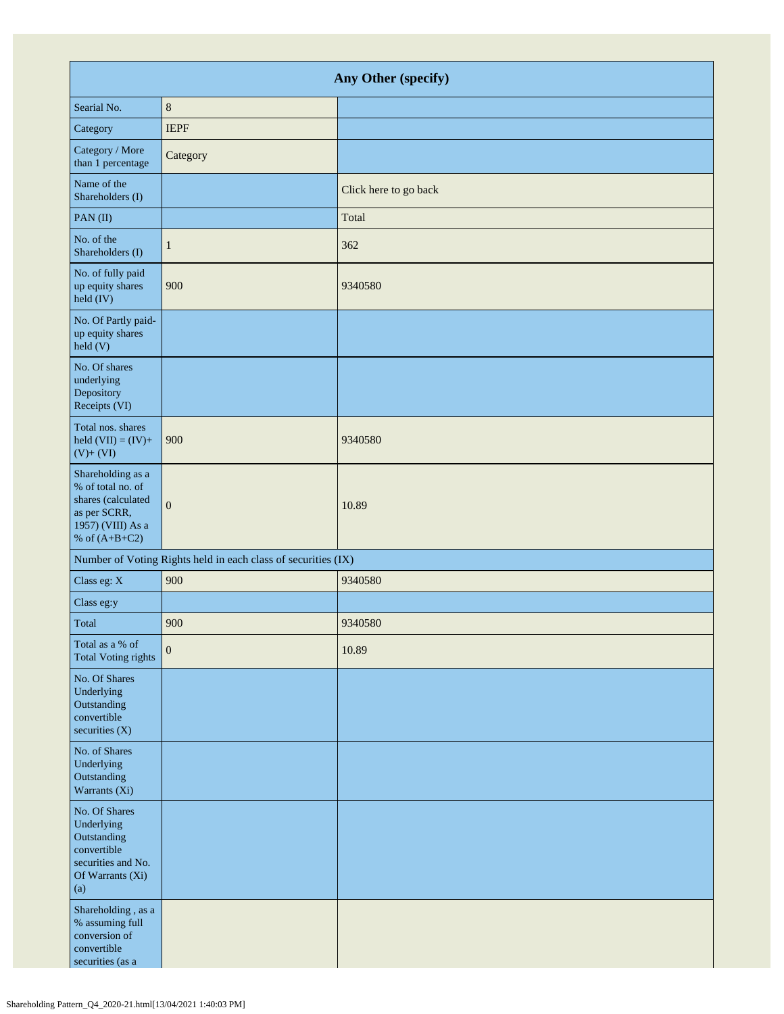| Any Other (specify)                                                                                                  |                |                       |  |
|----------------------------------------------------------------------------------------------------------------------|----------------|-----------------------|--|
| Searial No.                                                                                                          | $\,8\,$        |                       |  |
| Category                                                                                                             | <b>IEPF</b>    |                       |  |
| Category / More<br>than 1 percentage                                                                                 | Category       |                       |  |
| Name of the<br>Shareholders (I)                                                                                      |                | Click here to go back |  |
| PAN(II)                                                                                                              |                | Total                 |  |
| No. of the<br>Shareholders (I)                                                                                       | $\mathbf{1}$   | 362                   |  |
| No. of fully paid<br>up equity shares<br>held (IV)                                                                   | 900            | 9340580               |  |
| No. Of Partly paid-<br>up equity shares<br>held (V)                                                                  |                |                       |  |
| No. Of shares<br>underlying<br>Depository<br>Receipts (VI)                                                           |                |                       |  |
| Total nos. shares<br>held $(VII) = (IV) +$<br>$(V)+(VI)$                                                             | 900            | 9340580               |  |
| Shareholding as a<br>% of total no. of<br>shares (calculated<br>as per SCRR,<br>1957) (VIII) As a<br>% of $(A+B+C2)$ | $\overline{0}$ | 10.89                 |  |
| Number of Voting Rights held in each class of securities (IX)                                                        |                |                       |  |
| Class eg: X                                                                                                          | 900            | 9340580               |  |
| Class eg:y                                                                                                           |                |                       |  |
| Total                                                                                                                | 900            | 9340580               |  |
| Total as a % of<br><b>Total Voting rights</b>                                                                        | $\mathbf{0}$   | 10.89                 |  |
| No. Of Shares<br>Underlying<br>Outstanding<br>convertible<br>securities (X)                                          |                |                       |  |
| No. of Shares<br>Underlying<br>Outstanding<br>Warrants (Xi)                                                          |                |                       |  |
| No. Of Shares<br>Underlying<br>Outstanding<br>convertible<br>securities and No.<br>Of Warrants (Xi)<br>(a)           |                |                       |  |
| Shareholding, as a<br>% assuming full<br>conversion of<br>convertible<br>securities (as a                            |                |                       |  |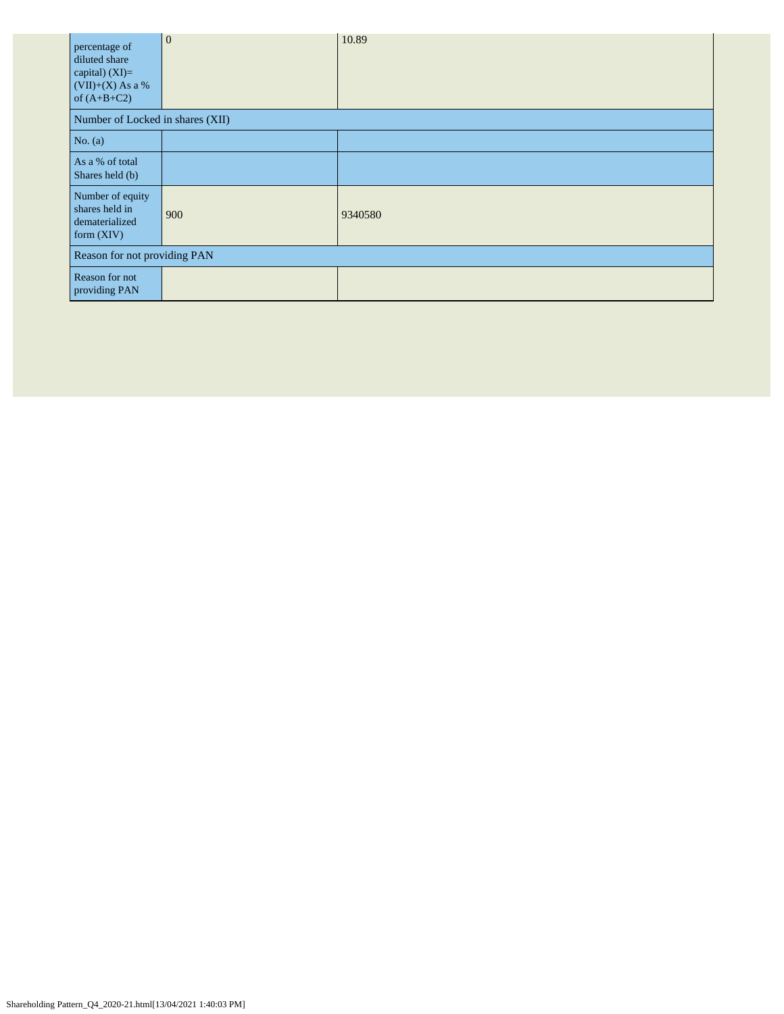| percentage of<br>diluted share<br>capital) $(XI)=$<br>$(VII)+(X)$ As a %<br>of $(A+B+C2)$ | $\overline{0}$ | 10.89   |  |
|-------------------------------------------------------------------------------------------|----------------|---------|--|
| Number of Locked in shares (XII)                                                          |                |         |  |
| No. $(a)$                                                                                 |                |         |  |
| As a % of total<br>Shares held (b)                                                        |                |         |  |
| Number of equity<br>shares held in<br>dematerialized<br>form $(XIV)$                      | 900            | 9340580 |  |
| Reason for not providing PAN                                                              |                |         |  |
| Reason for not<br>providing PAN                                                           |                |         |  |